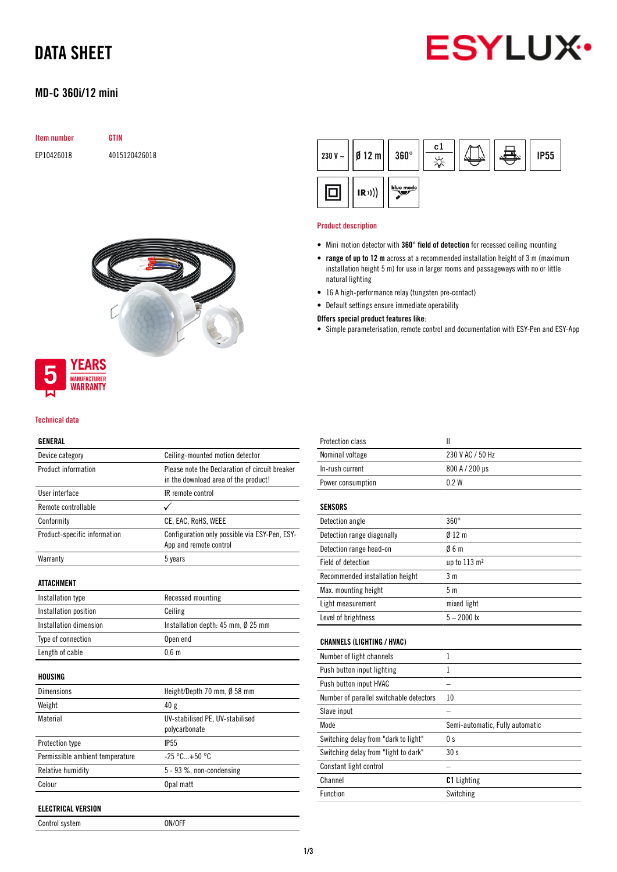

# DATA SHEET

### MD-C 360i/12 mini

| Item number | <b>GTIN</b>   |
|-------------|---------------|
| EP10426018  | 4015120426018 |



## **YEARS MANUFACTURER**<br>**WARRANTY**

#### Technical data

#### GENERAL

| Device category                 | Ceiling-mounted motion detector                                                        |  |
|---------------------------------|----------------------------------------------------------------------------------------|--|
| Product information             | Please note the Declaration of circuit breaker<br>in the download area of the product! |  |
| <b>Ilser interface</b>          | IR remote control                                                                      |  |
| Remote controllable             | ✓                                                                                      |  |
| Conformity                      | CE, EAC, RoHS, WEEE                                                                    |  |
| Product-specific information    | Configuration only possible via ESY-Pen, ESY-<br>App and remote control                |  |
| Warranty                        | 5 years                                                                                |  |
| <b>ATTACHMENT</b>               |                                                                                        |  |
| Installation type               | Recessed mounting                                                                      |  |
| Installation position           | Ceiling                                                                                |  |
| <b>Installation dimension</b>   | Installation depth: 45 mm, Ø 25 mm                                                     |  |
| Type of connection              | Open end                                                                               |  |
| Length of cable                 | 0.6 <sub>m</sub>                                                                       |  |
| HOUSING                         |                                                                                        |  |
| <b>Dimensions</b>               | Height/Depth 70 mm, $\emptyset$ 58 mm                                                  |  |
| Weight                          | 40 g                                                                                   |  |
| Material                        | UV-stabilised PE, UV-stabilised<br>polycarbonate                                       |  |
| <b>Protection type</b>          | <b>IP55</b>                                                                            |  |
| Permissible ambient temperature | $-25 °C+50 °C$                                                                         |  |
| Relative humidity               | 5 - 93 %, non-condensing                                                               |  |
| Colour                          | Opal matt                                                                              |  |

Control system ON/OFF



#### Product description

- Mini motion detector with 360° field of detection for recessed ceiling mounting
- range of up to 12 m across at a recommended installation height of 3 m (maximum installation height 5 m) for use in larger rooms and passageways with no or little natural lighting
- 16 A high-performance relay (tungsten pre-contact)
- Default settings ensure immediate operability

#### Offers special product features like:

• Simple parameterisation, remote control and documentation with ESY-Pen and ESY-App

| <b>Protection class</b>                 | $\mathbf{I}$                    |
|-----------------------------------------|---------------------------------|
| Nominal voltage                         | 230 V AC / 50 Hz                |
| In-rush current                         | 800 A / 200 µs                  |
| Power consumption                       | 0.2W                            |
| <b>SENSORS</b>                          |                                 |
| Detection angle                         | $360^\circ$                     |
| Detection range diagonally              | 012 <sub>m</sub>                |
| Detection range head-on                 | 06m                             |
| Field of detection                      | up to 113 m <sup>2</sup>        |
| Recommended installation height         | 3 <sub>m</sub>                  |
| Max. mounting height                    | 5 <sub>m</sub>                  |
| Light measurement                       | mixed light                     |
| Level of brightness                     | $5 - 2000$ lx                   |
| <b>CHANNELS (LIGHTING / HVAC)</b>       |                                 |
| Number of light channels                | 1                               |
| Push button input lighting              | 1                               |
| Push button input HVAC                  |                                 |
| Number of parallel switchable detectors | 10                              |
| Slave input                             |                                 |
| Mode                                    | Semi-automatic, Fully automatic |
| Switching delay from "dark to light"    | 0 <sub>s</sub>                  |
| Switching delay from "light to dark"    | 30 s                            |
| Constant light control                  |                                 |
| Channel                                 | <b>C1</b> Lighting              |
| <b>Function</b>                         | Switching                       |
|                                         |                                 |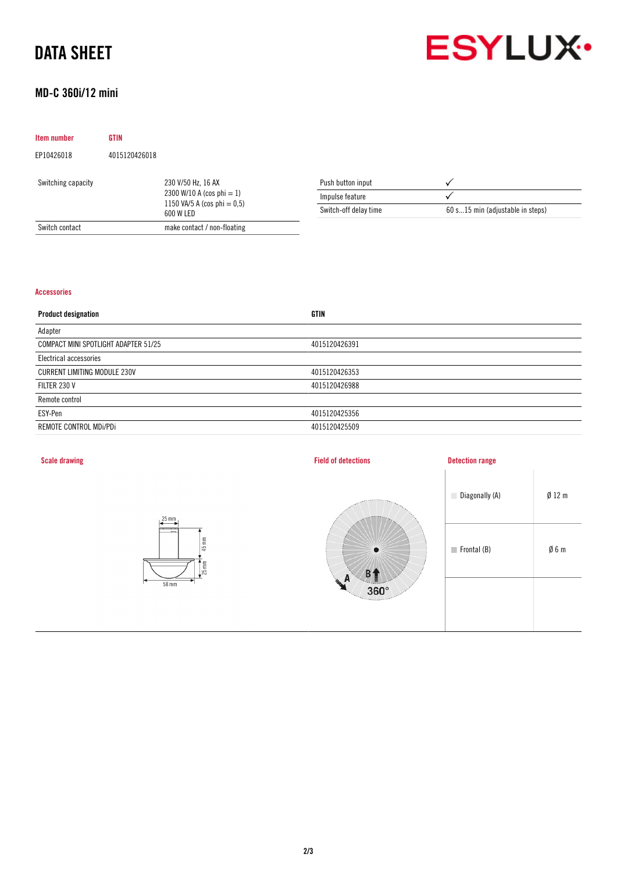## DATA SHEET



### MD-C 360i/12 mini

| Item number        | <b>GTIN</b>   |                                                                                                |                       |                                  |
|--------------------|---------------|------------------------------------------------------------------------------------------------|-----------------------|----------------------------------|
| EP10426018         | 4015120426018 |                                                                                                |                       |                                  |
| Switching capacity |               | 230 V/50 Hz, 16 AX<br>2300 W/10 A (cos phi = 1)<br>1150 VA/5 A (cos phi $= 0.5$ )<br>600 W LED | Push button input     |                                  |
|                    |               |                                                                                                | Impulse feature       |                                  |
|                    |               |                                                                                                | Switch-off delay time | 60 s15 min (adjustable in steps) |
| Switch contact     |               | make contact / non-floating                                                                    |                       |                                  |

#### Accessories

| <b>Product designation</b>           | <b>GTIN</b>   |
|--------------------------------------|---------------|
| Adapter                              |               |
| COMPACT MINI SPOTLIGHT ADAPTER 51/25 | 4015120426391 |
| Electrical accessories               |               |
| <b>CURRENT LIMITING MODULE 230V</b>  | 4015120426353 |
| FILTER 230 V                         | 4015120426988 |
| Remote control                       |               |
| ESY-Pen                              | 4015120425356 |
| REMOTE CONTROL MDi/PDi               | 4015120425509 |
|                                      |               |

| <b>Scale drawing</b>                                                                                      | <b>Field of detections</b>                  | <b>Detection range</b>     |                 |
|-----------------------------------------------------------------------------------------------------------|---------------------------------------------|----------------------------|-----------------|
| $25$ mm                                                                                                   | <b>ARRESTS</b>                              | Diagonally (A)             | $Ø$ 12 m        |
| $\overline{\phantom{0}}$<br>$\cdots$<br>$\overline{\phantom{a}}$<br>$45$ mm<br>$\frac{1}{25}$ mm<br>58 mm | $\bullet$<br>B1                             | $\blacksquare$ Frontal (B) | $\emptyset$ 6 m |
|                                                                                                           | A<br>HE.<br>$360^\circ$<br><b>Texas and</b> |                            |                 |